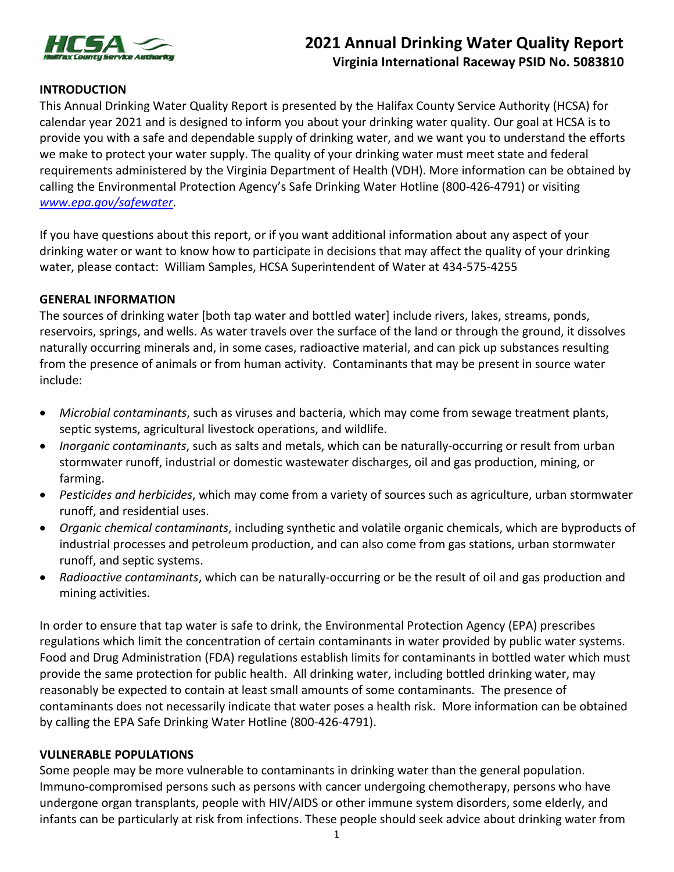

# **2021 Annual Drinking Water Quality Report Virginia International Raceway PSID No. 5083810**

# **INTRODUCTION**

This Annual Drinking Water Quality Report is presented by the Halifax County Service Authority (HCSA) for calendar year 2021 and is designed to inform you about your drinking water quality. Our goal at HCSA is to provide you with a safe and dependable supply of drinking water, and we want you to understand the efforts we make to protect your water supply. The quality of your drinking water must meet state and federal requirements administered by the Virginia Department of Health (VDH). More information can be obtained by calling the Environmental Protection Agency's Safe Drinking Water Hotline (800-426-4791) or visiting *www.epa.gov/safewater*.

If you have questions about this report, or if you want additional information about any aspect of your drinking water or want to know how to participate in decisions that may affect the quality of your drinking water, please contact: William Samples, HCSA Superintendent of Water at 434-575-4255

#### **GENERAL INFORMATION**

The sources of drinking water [both tap water and bottled water] include rivers, lakes, streams, ponds, reservoirs, springs, and wells. As water travels over the surface of the land or through the ground, it dissolves naturally occurring minerals and, in some cases, radioactive material, and can pick up substances resulting from the presence of animals or from human activity. Contaminants that may be present in source water include:

- *Microbial contaminants*, such as viruses and bacteria, which may come from sewage treatment plants, septic systems, agricultural livestock operations, and wildlife.
- *Inorganic contaminants*, such as salts and metals, which can be naturally-occurring or result from urban stormwater runoff, industrial or domestic wastewater discharges, oil and gas production, mining, or farming.
- *Pesticides and herbicides*, which may come from a variety of sources such as agriculture, urban stormwater runoff, and residential uses.
- *Organic chemical contaminants*, including synthetic and volatile organic chemicals, which are byproducts of industrial processes and petroleum production, and can also come from gas stations, urban stormwater runoff, and septic systems.
- *Radioactive contaminants*, which can be naturally-occurring or be the result of oil and gas production and mining activities.

In order to ensure that tap water is safe to drink, the Environmental Protection Agency (EPA) prescribes regulations which limit the concentration of certain contaminants in water provided by public water systems. Food and Drug Administration (FDA) regulations establish limits for contaminants in bottled water which must provide the same protection for public health. All drinking water, including bottled drinking water, may reasonably be expected to contain at least small amounts of some contaminants. The presence of contaminants does not necessarily indicate that water poses a health risk. More information can be obtained by calling the EPA Safe Drinking Water Hotline (800-426-4791).

#### **VULNERABLE POPULATIONS**

Some people may be more vulnerable to contaminants in drinking water than the general population. Immuno-compromised persons such as persons with cancer undergoing chemotherapy, persons who have undergone organ transplants, people with HIV/AIDS or other immune system disorders, some elderly, and infants can be particularly at risk from infections. These people should seek advice about drinking water from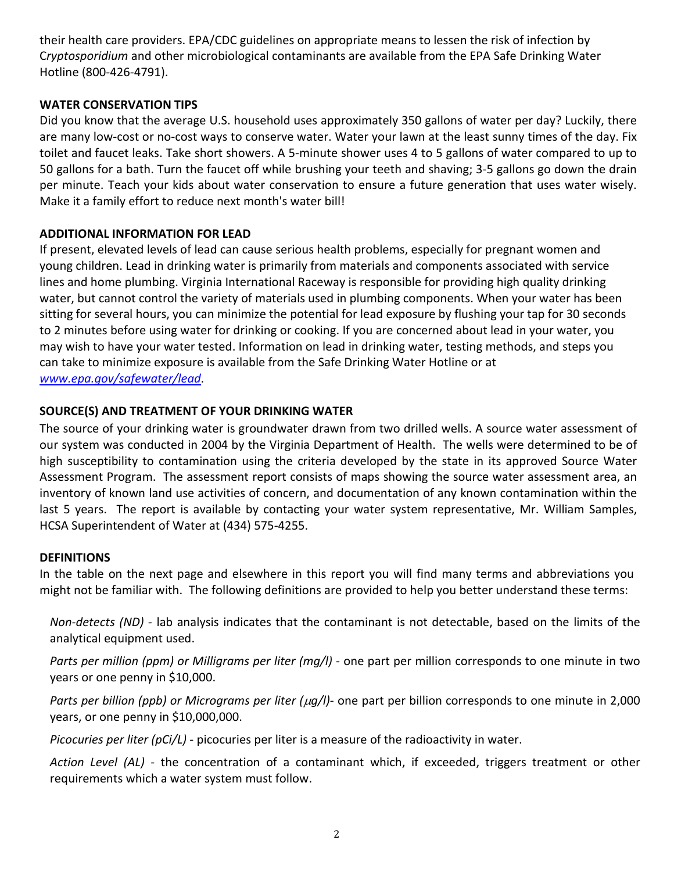their health care providers. EPA/CDC guidelines on appropriate means to lessen the risk of infection by C*ryptosporidium* and other microbiological contaminants are available from the EPA Safe Drinking Water Hotline (800-426-4791).

# **WATER CONSERVATION TIPS**

Did you know that the average U.S. household uses approximately 350 gallons of water per day? Luckily, there are many low-cost or no-cost ways to conserve water. Water your lawn at the least sunny times of the day. Fix toilet and faucet leaks. Take short showers. A 5-minute shower uses 4 to 5 gallons of water compared to up to 50 gallons for a bath. Turn the faucet off while brushing your teeth and shaving; 3-5 gallons go down the drain per minute. Teach your kids about water conservation to ensure a future generation that uses water wisely. Make it a family effort to reduce next month's water bill!

## **ADDITIONAL INFORMATION FOR LEAD**

If present, elevated levels of lead can cause serious health problems, especially for pregnant women and young children. Lead in drinking water is primarily from materials and components associated with service lines and home plumbing. Virginia International Raceway is responsible for providing high quality drinking water, but cannot control the variety of materials used in plumbing components. When your water has been sitting for several hours, you can minimize the potential for lead exposure by flushing your tap for 30 seconds to 2 minutes before using water for drinking or cooking. If you are concerned about lead in your water, you may wish to have your water tested. Information on lead in drinking water, testing methods, and steps you can take to minimize exposure is available from the Safe Drinking Water Hotline or at *[www.epa.gov/safewater/lead](http://www.epa.gov/safewater/lead)*.

## **SOURCE(S) AND TREATMENT OF YOUR DRINKING WATER**

The source of your drinking water is groundwater drawn from two drilled wells. A source water assessment of our system was conducted in 2004 by the Virginia Department of Health. The wells were determined to be of high susceptibility to contamination using the criteria developed by the state in its approved Source Water Assessment Program. The assessment report consists of maps showing the source water assessment area, an inventory of known land use activities of concern, and documentation of any known contamination within the last 5 years. The report is available by contacting your water system representative, Mr. William Samples, HCSA Superintendent of Water at (434) 575-4255.

#### **DEFINITIONS**

In the table on the next page and elsewhere in this report you will find many terms and abbreviations you might not be familiar with. The following definitions are provided to help you better understand these terms:

*Non-detects (ND) -* lab analysis indicates that the contaminant is not detectable, based on the limits of the analytical equipment used.

*Parts per million (ppm) or Milligrams per liter (mg/l)* - one part per million corresponds to one minute in two years or one penny in \$10,000.

*Parts per billion (ppb) or Micrograms per liter (*µ*g/l)*- one part per billion corresponds to one minute in 2,000 years, or one penny in \$10,000,000.

*Picocuries per liter (pCi/L)* - picocuries per liter is a measure of the radioactivity in water.

*Action Level (AL)* - the concentration of a contaminant which, if exceeded, triggers treatment or other requirements which a water system must follow.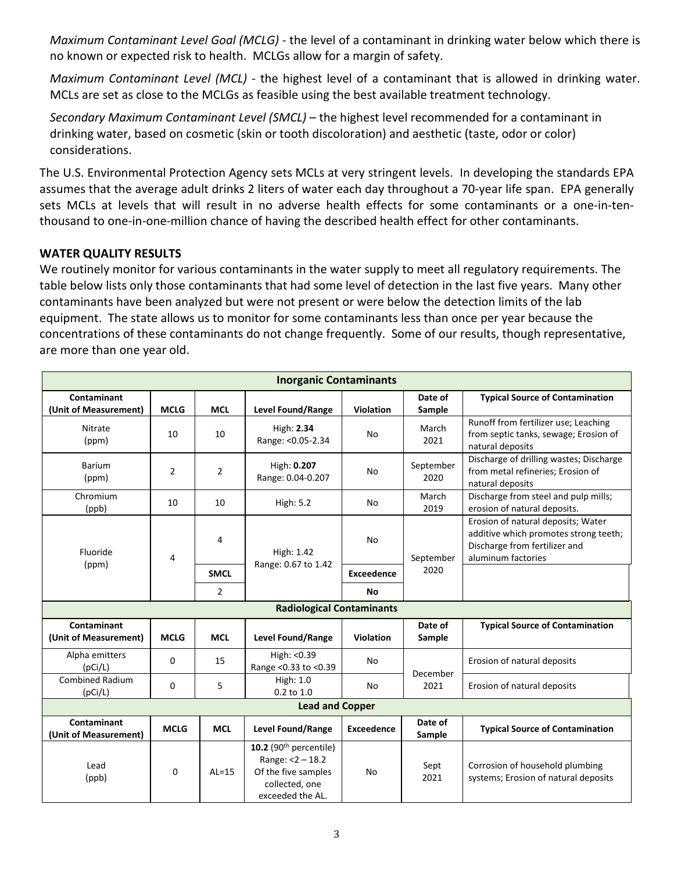*Maximum Contaminant Level Goal (MCLG) -* the level of a contaminant in drinking water below which there is no known or expected risk to health. MCLGs allow for a margin of safety.

*Maximum Contaminant Level (MCL)* - the highest level of a contaminant that is allowed in drinking water. MCLs are set as close to the MCLGs as feasible using the best available treatment technology.

*Secondary Maximum Contaminant Level (SMCL)* – the highest level recommended for a contaminant in drinking water, based on cosmetic (skin or tooth discoloration) and aesthetic (taste, odor or color) considerations.

The U.S. Environmental Protection Agency sets MCLs at very stringent levels. In developing the standards EPA assumes that the average adult drinks 2 liters of water each day throughout a 70-year life span. EPA generally sets MCLs at levels that will result in no adverse health effects for some contaminants or a one-in-tenthousand to one-in-one-million chance of having the described health effect for other contaminants.

# **WATER QUALITY RESULTS**

We routinely monitor for various contaminants in the water supply to meet all regulatory requirements. The table below lists only those contaminants that had some level of detection in the last five years. Many other contaminants have been analyzed but were not present or were below the detection limits of the lab equipment. The state allows us to monitor for some contaminants less than once per year because the concentrations of these contaminants do not change frequently. Some of our results, though representative, are more than one year old.

| <b>Inorganic Contaminants</b>        |                |                |                                                                                                           |                   |                   |                                                                                                                                    |  |  |  |  |
|--------------------------------------|----------------|----------------|-----------------------------------------------------------------------------------------------------------|-------------------|-------------------|------------------------------------------------------------------------------------------------------------------------------------|--|--|--|--|
| Contaminant<br>(Unit of Measurement) | <b>MCLG</b>    | <b>MCL</b>     | Level Found/Range                                                                                         | <b>Violation</b>  | Date of<br>Sample | <b>Typical Source of Contamination</b>                                                                                             |  |  |  |  |
| <b>Nitrate</b><br>(ppm)              | 10             | 10             | High: 2.34<br>Range: < 0.05-2.34                                                                          | No                | March<br>2021     | Runoff from fertilizer use; Leaching<br>from septic tanks, sewage; Erosion of<br>natural deposits                                  |  |  |  |  |
| Barium<br>(ppm)                      | $\overline{2}$ | $\overline{2}$ | High: 0.207<br>Range: 0.04-0.207                                                                          | No                | September<br>2020 | Discharge of drilling wastes; Discharge<br>from metal refineries; Erosion of<br>natural deposits                                   |  |  |  |  |
| Chromium<br>(ppb)                    | 10             | 10             | <b>High: 5.2</b>                                                                                          | No                | March<br>2019     | Discharge from steel and pulp mills;<br>erosion of natural deposits.                                                               |  |  |  |  |
| Fluoride<br>(ppm)                    | 4              | 4              | High: 1.42<br>Range: 0.67 to 1.42                                                                         | No                | September<br>2020 | Erosion of natural deposits; Water<br>additive which promotes strong teeth;<br>Discharge from fertilizer and<br>aluminum factories |  |  |  |  |
|                                      |                | <b>SMCL</b>    |                                                                                                           | <b>Exceedence</b> |                   |                                                                                                                                    |  |  |  |  |
|                                      |                | 2              |                                                                                                           | <b>No</b>         |                   |                                                                                                                                    |  |  |  |  |
| <b>Radiological Contaminants</b>     |                |                |                                                                                                           |                   |                   |                                                                                                                                    |  |  |  |  |
| Contaminant<br>(Unit of Measurement) | <b>MCLG</b>    | <b>MCL</b>     | <b>Level Found/Range</b>                                                                                  | <b>Violation</b>  | Date of<br>Sample | <b>Typical Source of Contamination</b>                                                                                             |  |  |  |  |
| Alpha emitters<br>(pCi/L)            | 0              | 15             | High: <0.39<br>Range < 0.33 to < 0.39                                                                     | No                | December<br>2021  | Erosion of natural deposits                                                                                                        |  |  |  |  |
| <b>Combined Radium</b><br>(pCi/L)    | 0              | 5              | High: 1.0<br>0.2 to 1.0                                                                                   | No                |                   | Erosion of natural deposits                                                                                                        |  |  |  |  |
| <b>Lead and Copper</b>               |                |                |                                                                                                           |                   |                   |                                                                                                                                    |  |  |  |  |
| Contaminant<br>(Unit of Measurement) | <b>MCLG</b>    | <b>MCL</b>     | Level Found/Range                                                                                         | Exceedence        | Date of<br>Sample | <b>Typical Source of Contamination</b>                                                                                             |  |  |  |  |
| Lead<br>(ppb)                        | $\Omega$       | $AL=15$        | 10.2 $(90th$ percentile)<br>Range: <2 - 18.2<br>Of the five samples<br>collected, one<br>exceeded the AL. | <b>No</b>         | Sept<br>2021      | Corrosion of household plumbing<br>systems; Erosion of natural deposits                                                            |  |  |  |  |